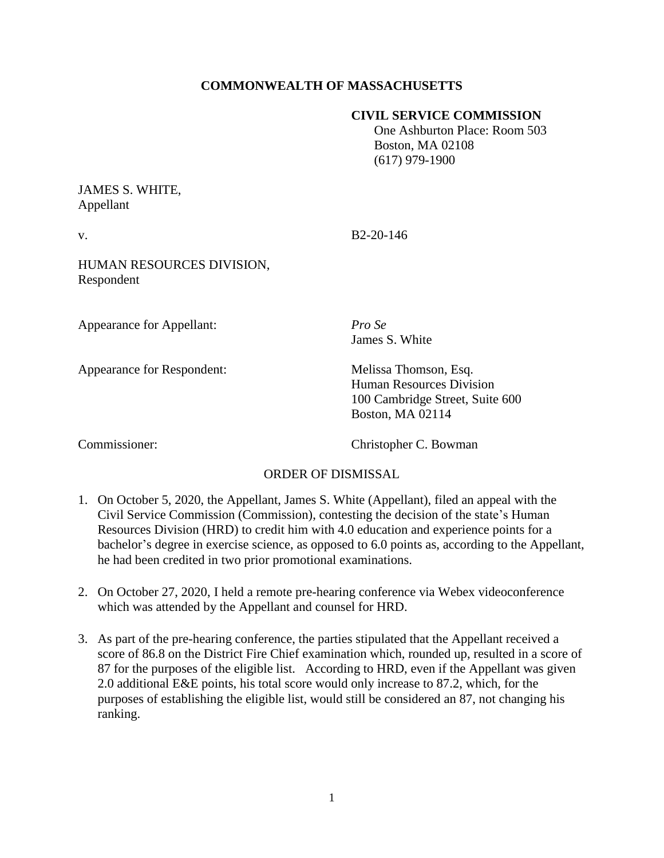## **COMMONWEALTH OF MASSACHUSETTS**

#### **CIVIL SERVICE COMMISSION**

 One Ashburton Place: Room 503 Boston, MA 02108 (617) 979-1900

# JAMES S. WHITE, Appellant

v. B2-20-146

HUMAN RESOURCES DIVISION, Respondent

Appearance for Appellant: *Pro Se*

Appearance for Respondent: Melissa Thomson, Esq.

James S. White

Human Resources Division 100 Cambridge Street, Suite 600 Boston, MA 02114

Commissioner: Christopher C. Bowman

### ORDER OF DISMISSAL

- 1. On October 5, 2020, the Appellant, James S. White (Appellant), filed an appeal with the Civil Service Commission (Commission), contesting the decision of the state's Human Resources Division (HRD) to credit him with 4.0 education and experience points for a bachelor's degree in exercise science, as opposed to 6.0 points as, according to the Appellant, he had been credited in two prior promotional examinations.
- 2. On October 27, 2020, I held a remote pre-hearing conference via Webex videoconference which was attended by the Appellant and counsel for HRD.
- 3. As part of the pre-hearing conference, the parties stipulated that the Appellant received a score of 86.8 on the District Fire Chief examination which, rounded up, resulted in a score of 87 for the purposes of the eligible list. According to HRD, even if the Appellant was given 2.0 additional E&E points, his total score would only increase to 87.2, which, for the purposes of establishing the eligible list, would still be considered an 87, not changing his ranking.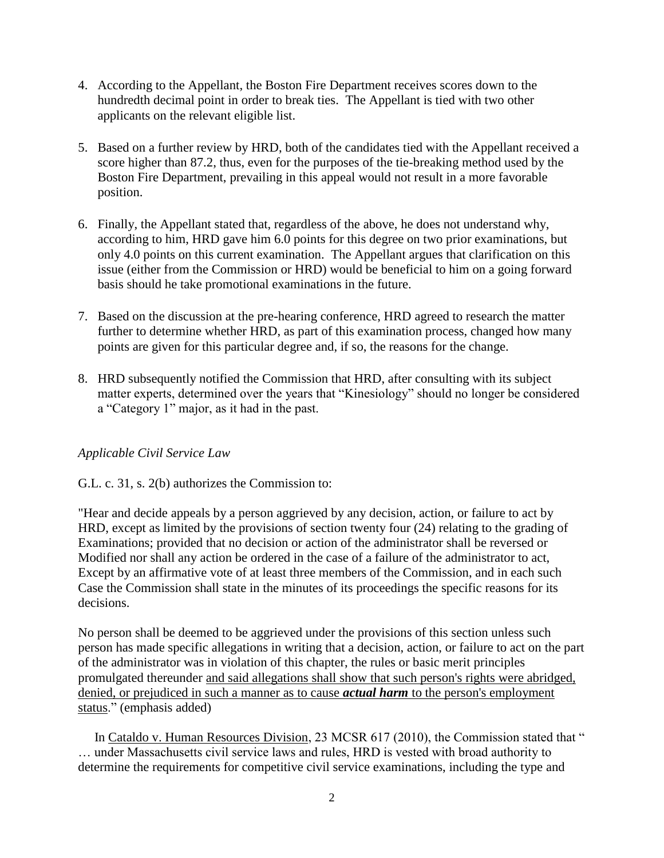- 4. According to the Appellant, the Boston Fire Department receives scores down to the hundredth decimal point in order to break ties. The Appellant is tied with two other applicants on the relevant eligible list.
- 5. Based on a further review by HRD, both of the candidates tied with the Appellant received a score higher than 87.2, thus, even for the purposes of the tie-breaking method used by the Boston Fire Department, prevailing in this appeal would not result in a more favorable position.
- 6. Finally, the Appellant stated that, regardless of the above, he does not understand why, according to him, HRD gave him 6.0 points for this degree on two prior examinations, but only 4.0 points on this current examination. The Appellant argues that clarification on this issue (either from the Commission or HRD) would be beneficial to him on a going forward basis should he take promotional examinations in the future.
- 7. Based on the discussion at the pre-hearing conference, HRD agreed to research the matter further to determine whether HRD, as part of this examination process, changed how many points are given for this particular degree and, if so, the reasons for the change.
- 8. HRD subsequently notified the Commission that HRD, after consulting with its subject matter experts, determined over the years that "Kinesiology" should no longer be considered a "Category 1" major, as it had in the past.

## *Applicable Civil Service Law*

### G.L. c. 31, s. 2(b) authorizes the Commission to:

"Hear and decide appeals by a person aggrieved by any decision, action, or failure to act by HRD, except as limited by the provisions of section twenty four (24) relating to the grading of Examinations; provided that no decision or action of the administrator shall be reversed or Modified nor shall any action be ordered in the case of a failure of the administrator to act, Except by an affirmative vote of at least three members of the Commission, and in each such Case the Commission shall state in the minutes of its proceedings the specific reasons for its decisions.

No person shall be deemed to be aggrieved under the provisions of this section unless such person has made specific allegations in writing that a decision, action, or failure to act on the part of the administrator was in violation of this chapter, the rules or basic merit principles promulgated thereunder and said allegations shall show that such person's rights were abridged, denied, or prejudiced in such a manner as to cause *actual harm* to the person's employment status." (emphasis added)

In Cataldo v. Human Resources Division, 23 MCSR 617 (2010), the Commission stated that " … under Massachusetts civil service laws and rules, HRD is vested with broad authority to determine the requirements for competitive civil service examinations, including the type and